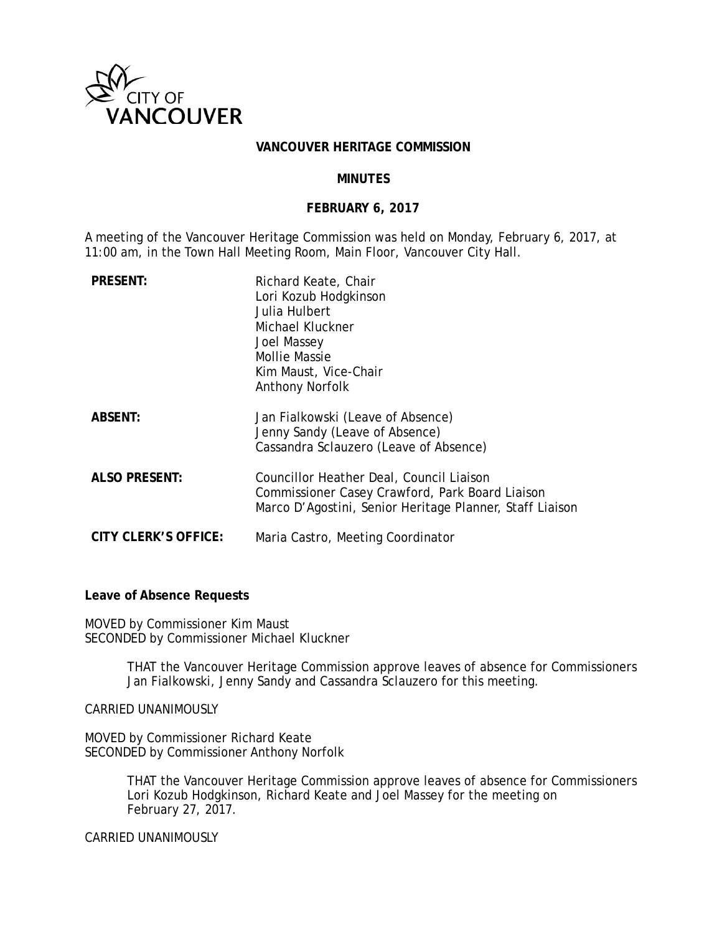

#### **VANCOUVER HERITAGE COMMISSION**

#### **MINUTES**

### **FEBRUARY 6, 2017**

A meeting of the Vancouver Heritage Commission was held on Monday, February 6, 2017, at 11:00 am, in the Town Hall Meeting Room, Main Floor, Vancouver City Hall.

| <b>PRESENT:</b>      | Richard Keate, Chair<br>Lori Kozub Hodgkinson<br>Julia Hulbert<br>Michael Kluckner<br>Joel Massey<br><b>Mollie Massie</b><br>Kim Maust, Vice-Chair<br><b>Anthony Norfolk</b> |
|----------------------|------------------------------------------------------------------------------------------------------------------------------------------------------------------------------|
| <b>ABSENT:</b>       | Jan Fialkowski (Leave of Absence)<br>Jenny Sandy (Leave of Absence)<br>Cassandra Sclauzero (Leave of Absence)                                                                |
| <b>ALSO PRESENT:</b> | Councillor Heather Deal, Council Liaison<br>Commissioner Casey Crawford, Park Board Liaison<br>Marco D'Agostini, Senior Heritage Planner, Staff Liaison                      |
| CITY CLERK'S OFFICE: | Maria Castro, Meeting Coordinator                                                                                                                                            |

### **Leave of Absence Requests**

MOVED by Commissioner Kim Maust SECONDED by Commissioner Michael Kluckner

> THAT the Vancouver Heritage Commission approve leaves of absence for Commissioners Jan Fialkowski, Jenny Sandy and Cassandra Sclauzero for this meeting.

CARRIED UNANIMOUSLY

MOVED by Commissioner Richard Keate SECONDED by Commissioner Anthony Norfolk

> THAT the Vancouver Heritage Commission approve leaves of absence for Commissioners Lori Kozub Hodgkinson, Richard Keate and Joel Massey for the meeting on February 27, 2017.

CARRIED UNANIMOUSLY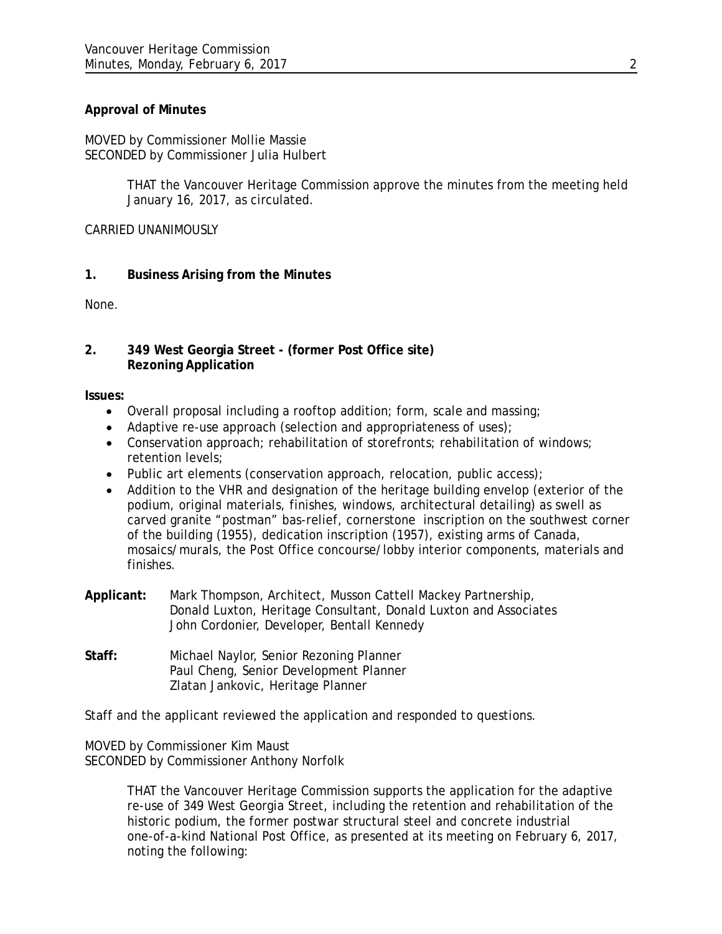## **Approval of Minutes**

MOVED by Commissioner Mollie Massie SECONDED by Commissioner Julia Hulbert

> THAT the Vancouver Heritage Commission approve the minutes from the meeting held January 16, 2017, as circulated.

CARRIED UNANIMOUSLY

### **1. Business Arising from the Minutes**

None.

### **2. 349 West Georgia Street - (former Post Office site) Rezoning Application**

**Issues:**

- Overall proposal including a rooftop addition; form, scale and massing;
- Adaptive re-use approach (selection and appropriateness of uses);
- Conservation approach; rehabilitation of storefronts; rehabilitation of windows; retention levels;
- Public art elements (conservation approach, relocation, public access);
- Addition to the VHR and designation of the heritage building envelop (exterior of the podium, original materials, finishes, windows, architectural detailing) as swell as carved granite "postman" bas-relief, cornerstone inscription on the southwest corner of the building (1955), dedication inscription (1957), existing arms of Canada, mosaics/murals, the Post Office concourse/lobby interior components, materials and finishes.
- **Applicant:** Mark Thompson, Architect, Musson Cattell Mackey Partnership, Donald Luxton, Heritage Consultant, Donald Luxton and Associates John Cordonier, Developer, Bentall Kennedy
- **Staff:** Michael Naylor, Senior Rezoning Planner Paul Cheng, Senior Development Planner Zlatan Jankovic, Heritage Planner

Staff and the applicant reviewed the application and responded to questions.

MOVED by Commissioner Kim Maust SECONDED by Commissioner Anthony Norfolk

> THAT the Vancouver Heritage Commission supports the application for the adaptive re-use of 349 West Georgia Street, including the retention and rehabilitation of the historic podium, the former postwar structural steel and concrete industrial one-of-a-kind National Post Office, as presented at its meeting on February 6, 2017, noting the following: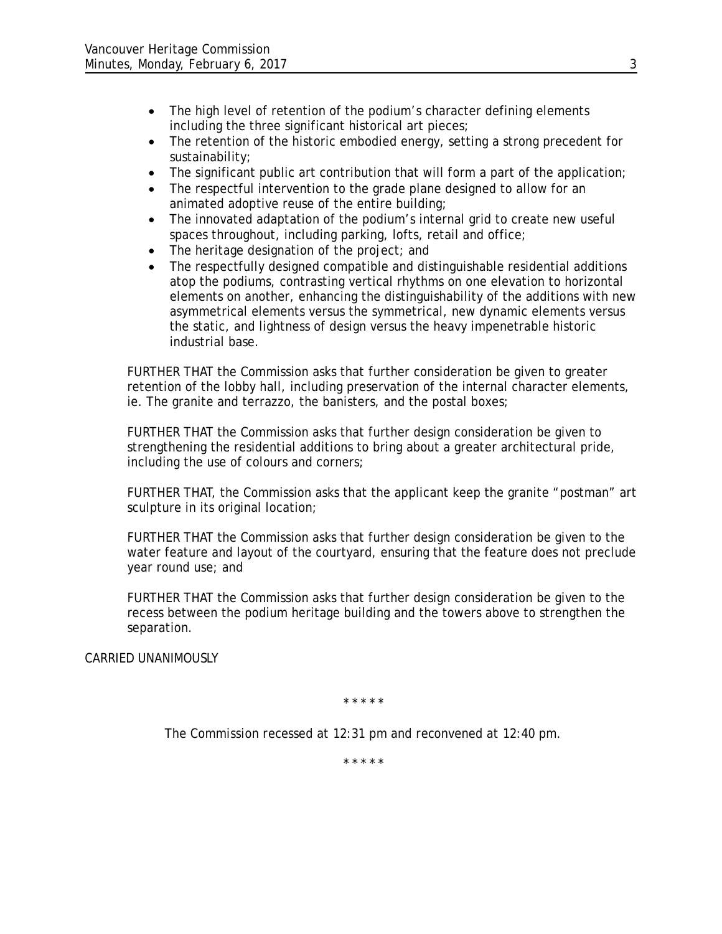- The high level of retention of the podium's character defining elements including the three significant historical art pieces;
- The retention of the historic embodied energy, setting a strong precedent for sustainability;
- The significant public art contribution that will form a part of the application;
- The respectful intervention to the grade plane designed to allow for an animated adoptive reuse of the entire building;
- The innovated adaptation of the podium's internal grid to create new useful spaces throughout, including parking, lofts, retail and office;
- The heritage designation of the project; and
- The respectfully designed compatible and distinguishable residential additions atop the podiums, contrasting vertical rhythms on one elevation to horizontal elements on another, enhancing the distinguishability of the additions with new asymmetrical elements versus the symmetrical, new dynamic elements versus the static, and lightness of design versus the heavy impenetrable historic industrial base.

FURTHER THAT the Commission asks that further consideration be given to greater retention of the lobby hall, including preservation of the internal character elements, ie. The granite and terrazzo, the banisters, and the postal boxes;

FURTHER THAT the Commission asks that further design consideration be given to strengthening the residential additions to bring about a greater architectural pride, including the use of colours and corners;

FURTHER THAT, the Commission asks that the applicant keep the granite "postman" art sculpture in its original location;

FURTHER THAT the Commission asks that further design consideration be given to the water feature and layout of the courtyard, ensuring that the feature does not preclude year round use; and

FURTHER THAT the Commission asks that further design consideration be given to the recess between the podium heritage building and the towers above to strengthen the separation.

CARRIED UNANIMOUSLY

*\* \* \* \* \**

*The Commission recessed at 12:31 pm and reconvened at 12:40 pm.*

*\* \* \* \* \**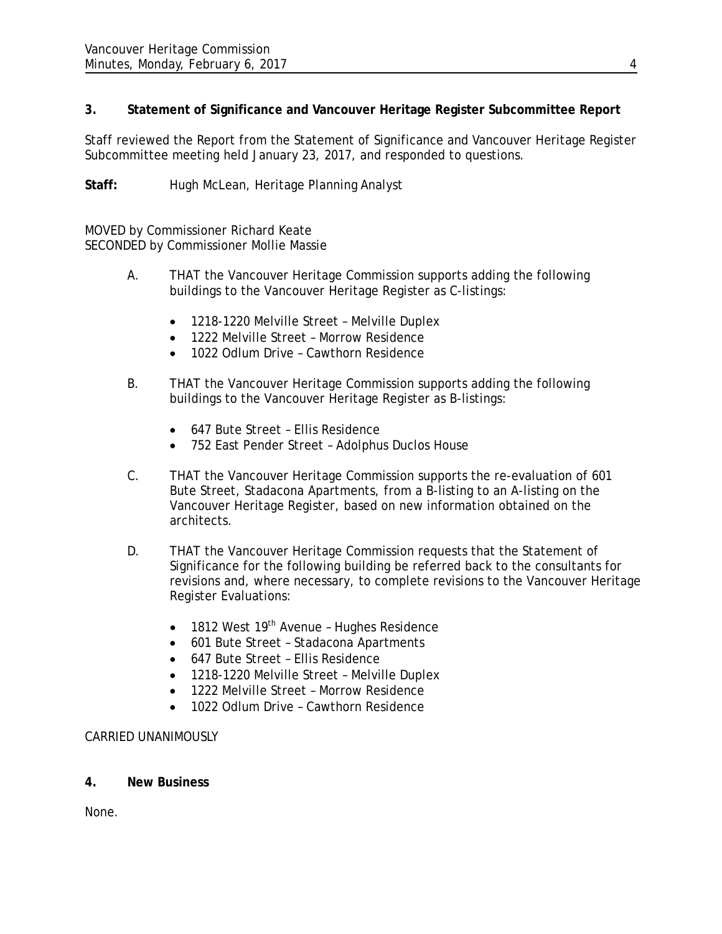# **3. Statement of Significance and Vancouver Heritage Register Subcommittee Report**

Staff reviewed the Report from the Statement of Significance and Vancouver Heritage Register Subcommittee meeting held January 23, 2017, and responded to questions.

Staff: Hugh McLean, Heritage Planning Analyst

MOVED by Commissioner Richard Keate SECONDED by Commissioner Mollie Massie

- A. THAT the Vancouver Heritage Commission supports adding the following buildings to the Vancouver Heritage Register as C-listings:
	- 1218-1220 Melville Street Melville Duplex
	- 1222 Melville Street Morrow Residence
	- 1022 Odlum Drive Cawthorn Residence
- B. THAT the Vancouver Heritage Commission supports adding the following buildings to the Vancouver Heritage Register as B-listings:
	- 647 Bute Street Ellis Residence
	- 752 East Pender Street Adolphus Duclos House
- C. THAT the Vancouver Heritage Commission supports the re-evaluation of 601 Bute Street, Stadacona Apartments, from a B-listing to an A-listing on the Vancouver Heritage Register, based on new information obtained on the architects.
- D. THAT the Vancouver Heritage Commission requests that the Statement of Significance for the following building be referred back to the consultants for revisions and, where necessary, to complete revisions to the Vancouver Heritage Register Evaluations:
	- $\bullet$  1812 West 19<sup>th</sup> Avenue Hughes Residence
	- 601 Bute Street Stadacona Apartments
	- 647 Bute Street Ellis Residence
	- 1218-1220 Melville Street Melville Duplex
	- 1222 Melville Street Morrow Residence
	- 1022 Odlum Drive Cawthorn Residence

# CARRIED UNANIMOUSLY

# **4. New Business**

None.